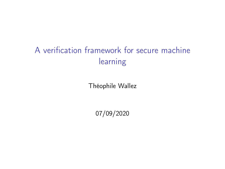# A verification framework for secure machine learning

Théophile Wallez

07/09/2020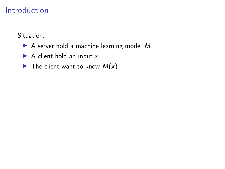Situation:

- $\blacktriangleright$  A server hold a machine learning model M
- $\blacktriangleright$  A client hold an input x
- $\blacktriangleright$  The client want to know  $M(x)$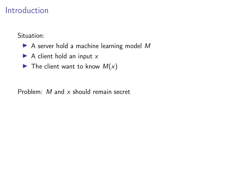Situation:

- $\triangleright$  A server hold a machine learning model M
- $\blacktriangleright$  A client hold an input x
- $\blacktriangleright$  The client want to know  $M(x)$

Problem: M and x should remain secret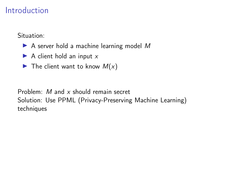Situation:

- $\triangleright$  A server hold a machine learning model M
- $\blacktriangleright$  A client hold an input x
- $\blacktriangleright$  The client want to know  $M(x)$

Problem: M and x should remain secret Solution: Use PPML (Privacy-Preserving Machine Learning) techniques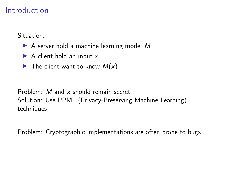Situation:

- $\triangleright$  A server hold a machine learning model M
- $\blacktriangleright$  A client hold an input x
- $\blacktriangleright$  The client want to know  $M(x)$

Problem: M and x should remain secret Solution: Use PPML (Privacy-Preserving Machine Learning) techniques

Problem: Cryptographic implementations are often prone to bugs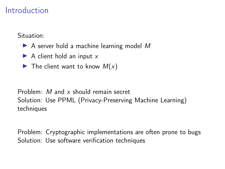Situation:

- $\triangleright$  A server hold a machine learning model M
- $\blacktriangleright$  A client hold an input x
- $\blacktriangleright$  The client want to know  $M(x)$

Problem: M and x should remain secret Solution: Use PPML (Privacy-Preserving Machine Learning) techniques

Problem: Cryptographic implementations are often prone to bugs Solution: Use software verification techniques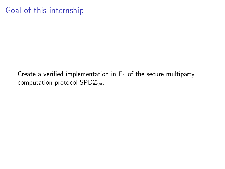# Goal of this internship

Create a verified implementation in F∗ of the secure multiparty computation protocol  $\mathsf{SPD}\mathbb{Z}_{2^k}.$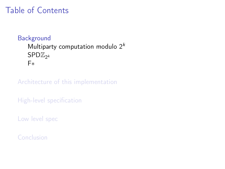# <span id="page-7-0"></span>Table of Contents

#### **[Background](#page-7-0)** Multiparty computation modulo  $2^k$  $\mathsf{SPD}\mathbb{Z}_{2^k}$  $\mathsf{SPD}\mathbb{Z}_{2^k}$  $\mathsf{SPD}\mathbb{Z}_{2^k}$ [F](#page-23-0)∗

[Architecture of this implementation](#page-38-0)

[High-level specification](#page-42-0)

[Low level spec](#page-46-0)

[Conclusion](#page-57-0)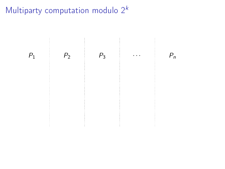<span id="page-8-0"></span>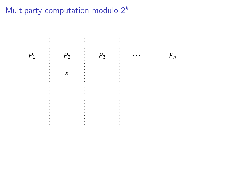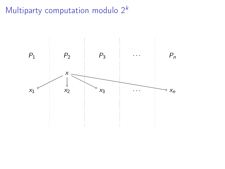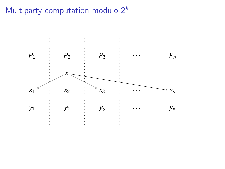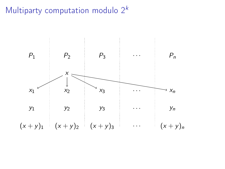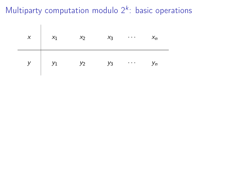| $\vert x \vert$ | $x_1$ | $x_2$ | $x_3$ | $\sim$ $\sim$ $\sim$ | $X_n$ |
|-----------------|-------|-------|-------|----------------------|-------|
| y               | $y_1$ | $y_2$ | $y_3$ | $\cdots$ .           | Уn    |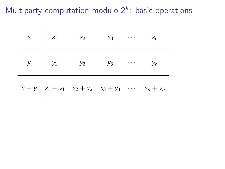|  | $x \mid x_1 \mid x_2 \mid x_3 \mid \cdots \mid x_n$                             |  |  |
|--|---------------------------------------------------------------------------------|--|--|
|  | $y \mid y_1 \mid y_2 \mid y_3 \mid \cdots \mid y_n$                             |  |  |
|  | $x + y \mid x_1 + y_1 \mid x_2 + y_2 \mid x_3 + y_3 \mid \cdots \mid x_n + y_n$ |  |  |

 $\overline{\phantom{a}}$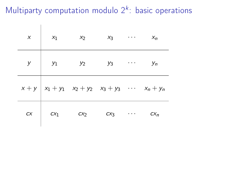$\overline{1}$ 

|                                                | $x \mid x_1 \mid x_2 \mid x_3 \mid \cdots \mid x_n$              |               |  |
|------------------------------------------------|------------------------------------------------------------------|---------------|--|
|                                                | $y \begin{vmatrix} y_1 & y_2 & y_3 & \cdots & y_n \end{vmatrix}$ |               |  |
|                                                | $x + y   x_1 + y_1 x_2 + y_2 x_3 + y_3 \cdots x_n + y_n$         |               |  |
| $cx \begin{vmatrix} cx_1 & cx_2 \end{vmatrix}$ |                                                                  | $cx_3$ $cx_n$ |  |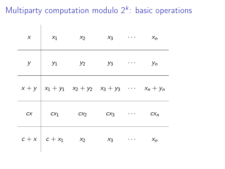$\overline{\phantom{a}}$ 

| $\boldsymbol{x}$ | $x_1$ $x_2$ $x_3$ $x_n$                                               |  |  |
|------------------|-----------------------------------------------------------------------|--|--|
|                  | $y \mid y_1 \mid y_2 \mid y_3 \mid \cdots \mid y_n$                   |  |  |
|                  | $x + y   x_1 + y_1 x_2 + y_2 x_3 + y_3 \cdots x_n + y_n$              |  |  |
|                  | $cx \begin{vmatrix} cx_1 & cx_2 & cx_3 & \cdots & cx_n \end{vmatrix}$ |  |  |
|                  | $c + x$ $c + x_1$ $x_2$ $x_3$ $x_n$                                   |  |  |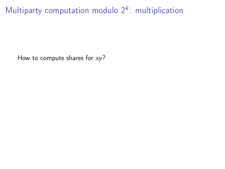Multiparty computation modulo  $2^k$ : multiplication

How to compute shares for  $xy$ ?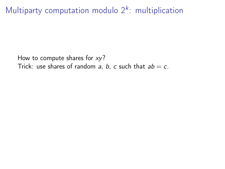Multiparty computation modulo  $2^k$ : multiplication

How to compute shares for  $xy$ ? Trick: use shares of random a, b, c such that  $ab = c$ .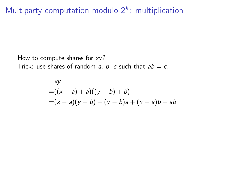Multiparty computation modulo  $2^k$ : multiplication

How to compute shares for  $xy$ ? Trick: use shares of random a, b, c such that  $ab = c$ .

xy  
=
$$
((x-a)+a)((y-b)+b)
$$
  
= $(x-a)(y-b)+(y-b)a+(x-a)b+ab$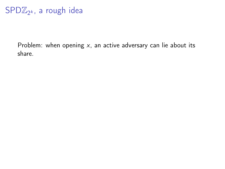# <span id="page-20-0"></span> $SPD\mathbb{Z}_{2^k}$ , a rough idea

Problem: when opening  $x$ , an active adversary can lie about its share.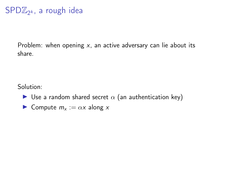# $SPD\mathbb{Z}_{2^k}$ , a rough idea

Problem: when opening  $x$ , an active adversary can lie about its share.

Solution:

- I Use a random shared secret  $\alpha$  (an authentication key)
- **I** Compute  $m_x := \alpha x$  along x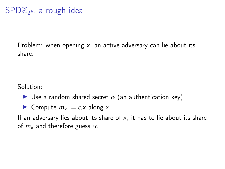# $SPD\mathbb{Z}_{2^k}$ , a rough idea

Problem: when opening  $x$ , an active adversary can lie about its share.

Solution:

- $\triangleright$  Use a random shared secret  $\alpha$  (an authentication key)
- **I** Compute  $m_x := \alpha x$  along x

If an adversary lies about its share of  $x$ , it has to lie about its share of  $m<sub>x</sub>$  and therefore guess  $\alpha$ .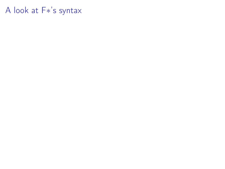# <span id="page-23-0"></span>A look at F∗'s syntax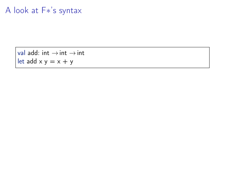# A look at F∗'s syntax

val add: int  $\rightarrow$  int  $\rightarrow$  int let add  $x y = x + y$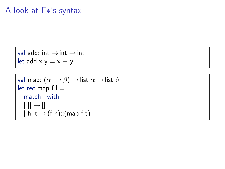# A look at F∗'s syntax

val add: int  $\rightarrow$  int  $\rightarrow$  int let add  $x y = x + y$ 

```
val map: (\alpha \rightarrow \beta) \rightarrowlist \alpha \rightarrowlist \betalet rec map f =match l with
   | | | \rightarrow |h::t \rightarrow (fh):(map f t)
```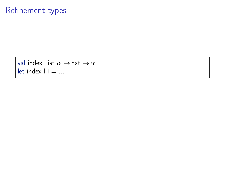```
val index: list \alpha \rightarrow nat \rightarrow \alphalet index l i = \ldots
```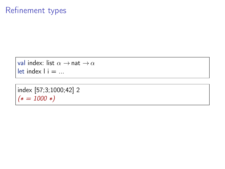```
val index: list \alpha \rightarrow nat \rightarrow \alphalet index i = ...
```

```
index [57;3;1000;42] 2
(* = 1000 *)
```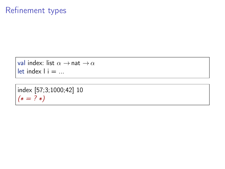```
val index: list \alpha \rightarrow nat \rightarrow \alphalet index i = ...
```

```
index [57;3;1000;42] 10
(* = ? *)
```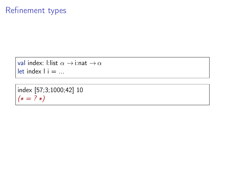```
val index: l:list \alpha \rightarrow i:nat \rightarrow \alphalet index i = ...
```

```
index [57;3;1000;42] 10
(* = ? *)
```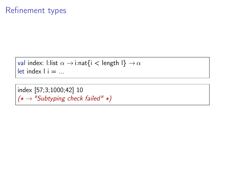```
val index: l:list \alpha \rightarrow i:nat{i < length l} \rightarrow \alphalet index i = ...
```
index [57;3;1000;42] 10  $(* → "Sub typing check failed" *)$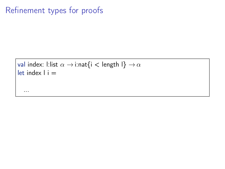...

```
val index: l:list \alpha \rightarrow i:nat{i < length l} \rightarrow \alphalet index l i =
```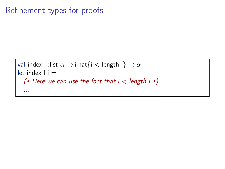```
val index: l:list \alpha \rightarrow i:nat{i < length l} \rightarrow \alphalet index l i =(* Here we can use the fact that i < length | * \rangle...
```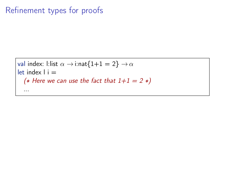```
val index: l:list \alpha \rightarrow i:nat\{1+1=2\} \rightarrow \alphalet index l i =(* Here we can use the fact that 1+1 = 2 *)
   ...
```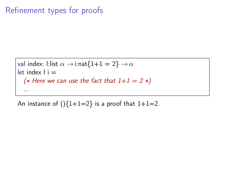val index: L:list 
$$
α →
$$
 i:nat{1+1 = 2} →  $α$   
let index l i =  
(\* Here we can use the fact that 1+1 = 2 \*)  
...

An instance of  $(\frac{1}{1+1=2})$  is a proof that  $1+1=2$ .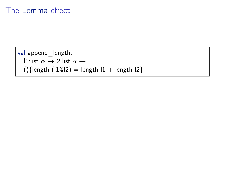# The Lemma effect

```
val append_length:
   l1:list \alpha \rightarrow l2:list \alpha \rightarrow(\text{length} (11@12) = \text{length} 11 + \text{length} 12)
```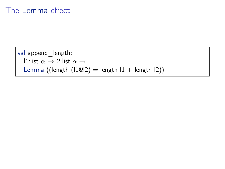# The Lemma effect

```
val append_length:
  l1:list \alpha \rightarrow l2:list \alpha \rightarrowLemma ((length (11@12) = length 11 + length 12))
```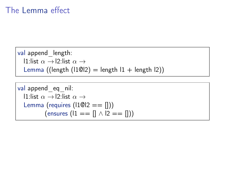# The Lemma effect

```
val append_length:
  l1:list \alpha \rightarrow l2:list \alpha \rightarrowLemma ((length (11@12) = length 11 + length 12))
```
val append\_eq\_nil: l1:list α → l2:list α → Lemma (requires (l1@l2 == [])) (ensures (l1 == [] ∧ l2 == []))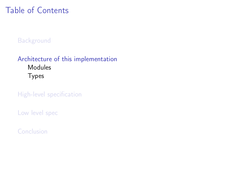# <span id="page-38-0"></span>Table of Contents

#### **[Background](#page-7-0)**

#### [Architecture of this implementation](#page-38-0) [Modules](#page-39-0) [Types](#page-40-0)

[High-level specification](#page-42-0)

[Low level spec](#page-46-0)

[Conclusion](#page-57-0)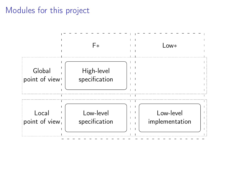### <span id="page-39-0"></span>Modules for this project

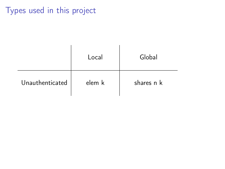# <span id="page-40-0"></span>Types used in this project

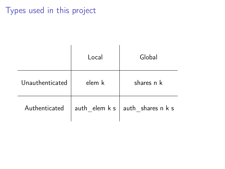# Types used in this project

|                 | Local  | Global                                                                                                  |  |  |
|-----------------|--------|---------------------------------------------------------------------------------------------------------|--|--|
| Unauthenticated | elem k | shares n k                                                                                              |  |  |
| Authenticated   |        | $\mathsf{auth\_elem} \mathsf{k} \mathsf{s} \mid \mathsf{auth\_shares} \mathsf{n} \mathsf{k} \mathsf{s}$ |  |  |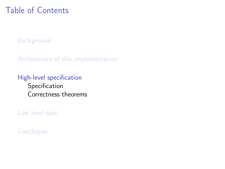# <span id="page-42-0"></span>Table of Contents

**[Background](#page-7-0)** 

[Architecture of this implementation](#page-38-0)

[High-level specification](#page-42-0) [Specification](#page-43-0) [Correctness theorems](#page-44-0)

[Low level spec](#page-46-0)

[Conclusion](#page-57-0)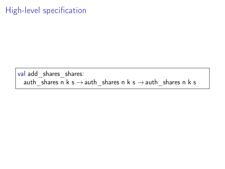# <span id="page-43-0"></span>High-level specification

val add\_shares\_shares: auth shares n k s  $\rightarrow$  auth shares n k s  $\rightarrow$  auth shares n k s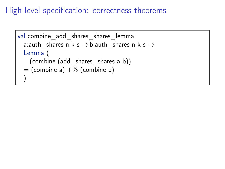# <span id="page-44-0"></span>High-level specification: correctness theorems

```
val combine add shares shares lemma:
  a:auth shares n k s \rightarrow b:auth shares n k s \rightarrowLemma (
    (combine (add_shares_shares a b))
  = (combine a) +% (combine b)
  )
```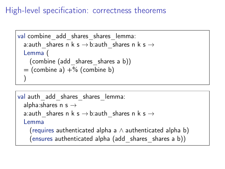# High-level specification: correctness theorems

```
val combine add shares shares lemma:
  a:auth shares n k s \rightarrow b:auth shares n k s \rightarrowLemma (
    (combine (add_shares_shares a b))
  = (combine a) +% (combine b)
  )
```

```
val auth add shares shares lemma:
  alpha:shares n s \rightarrowa:auth shares n k s \rightarrow b:auth shares n k s \rightarrowLemma
    (requires authenticated alpha a \land authenticated alpha b)
    (ensures authenticated alpha (add_shares_shares a b))
```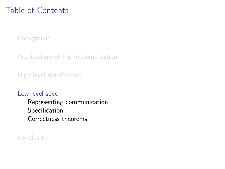# <span id="page-46-0"></span>Table of Contents

[Background](#page-7-0)

[Architecture of this implementation](#page-38-0)

[High-level specification](#page-42-0)

#### [Low level spec](#page-46-0)

[Representing communication](#page-47-0) [Specification](#page-53-0) [Correctness theorems](#page-54-0)

#### [Conclusion](#page-57-0)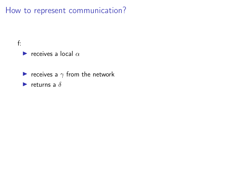<span id="page-47-0"></span>f:

#### receives a local  $\alpha$

- receives a  $\gamma$  from the network
- returns a  $\delta$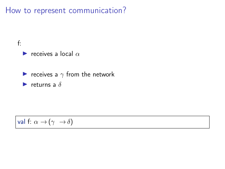f:



receives a  $\gamma$  from the network

returns a  $\delta$ 

#### val f:  $\alpha \rightarrow (\gamma \rightarrow \delta)$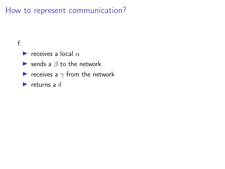#### f:

receives a local  $\alpha$ 

- $\blacktriangleright$  sends a  $\beta$  to the network
- receives a  $\gamma$  from the network
- returns a  $\delta$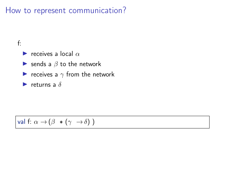#### f:

receives a local  $\alpha$ 

- $\blacktriangleright$  sends a  $\beta$  to the network
- receives a  $\gamma$  from the network

 $\blacktriangleright$  returns a  $\delta$ 

 $\vert$  val f:  $\alpha \rightarrow (\beta * (\gamma \rightarrow \delta))$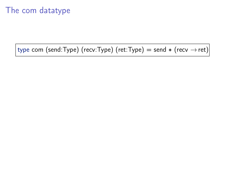# The com datatype

type com (send:Type) (recv:Type) (ret:Type) = send  $*$  (recv  $\rightarrow$  ret)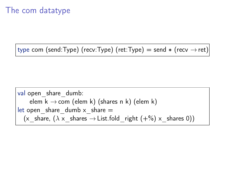# The com datatype

type com (send:Type) (recv:Type) (ret:Type) = send  $*$  (recv  $\rightarrow$  ret)

val open\_share\_dumb: elem k →com (elem k) (shares n k) (elem k) let open\_share\_dumb x\_share = (x\_share, (λ x\_shares → List.fold\_right (+%) x\_shares 0))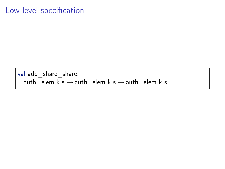#### <span id="page-53-0"></span>Low-level specification

val add\_share\_share:  $\mathsf{auth}\_\mathsf{elem}\ \mathsf{k}\ \mathsf{s}\to \mathsf{auth}\_\mathsf{elem}\ \mathsf{k}\ \mathsf{s}$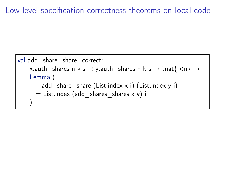# <span id="page-54-0"></span>Low-level specification correctness theorems on local code

```
val add share share correct:
    x:auth shares n k s \rightarrowy:auth shares n k s \rightarrow i:nat{i<n} \rightarrowLemma (
         add share share (List.index x i) (List.index y i)
       = List.index (add shares shares x y) i
     )
```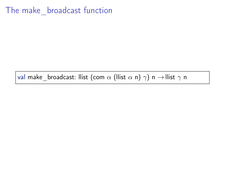# The make broadcast function

val make broadcast: llist (com  $\alpha$  (llist  $\alpha$  n)  $\gamma$ ) n  $\rightarrow$  llist  $\gamma$  n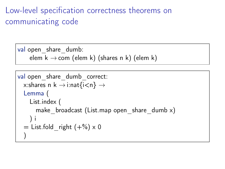# Low-level specification correctness theorems on communicating code

val open share dumb: elem  $k \rightarrow$ com (elem k) (shares n k) (elem k)

```
val open share dumb correct:
  x:shares n k \rightarrow i:nat{i<n} \rightarrowLemma (
    List.index (
      make broadcast (List.map open share dumb x)
     ) i
  = List.fold right (+%) \times 0)
```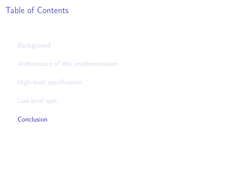# <span id="page-57-0"></span>Table of Contents

[Background](#page-7-0)

[Architecture of this implementation](#page-38-0)

[High-level specification](#page-42-0)

[Low level spec](#page-46-0)

[Conclusion](#page-57-0)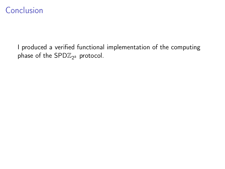# Conclusion

I produced a verified functional implementation of the computing phase of the  $\mathsf{SPD}\mathbb{Z}_{2^k}$  protocol.